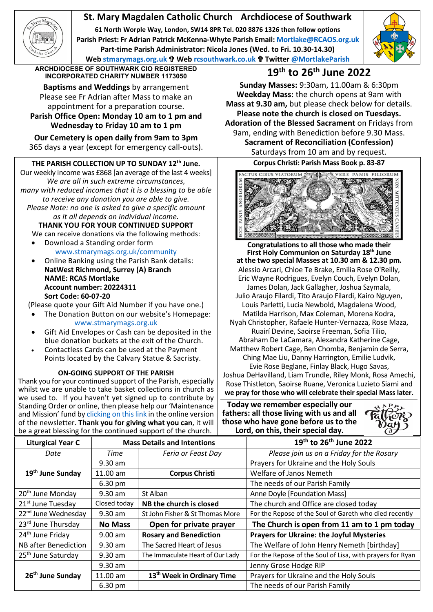## **St. Mary Magdalen Catholic Church Archdiocese of Southwark**

**61 North Worple Way, London, SW14 8PR Tel. 020 8876 1326 then follow options Parish Priest: Fr Adrian Patrick McKenna-Whyte Parish Email[: Mortlake@RCAOS.org.uk](about:blank) Part-time Parish Administrator: Nicola Jones (Wed. to Fri. 10.30-14.30) Web [stmarymags.org.uk](about:blank) Web [rcsouthwark.co.uk](about:blank) Twitter [@MortlakeParish](about:blank)**



**ARCHDIOCESE OF SOUTHWARK CIO REGISTERED INCORPORATED CHARITY NUMBER 1173050 19th to 26th June 2022**

**Baptisms and Weddings** by arrangement Please see Fr Adrian after Mass to make an appointment for a preparation course. **Parish Office Open: Monday 10 am to 1 pm and**

**Wednesday to Friday 10 am to 1 pm Our Cemetery is open daily from 9am to 3pm**

365 days a year (except for emergency call-outs).

## **THE PARISH COLLECTION UP TO SUNDAY 12th June.**

Our weekly income was £868 [an average of the last 4 weeks] *We are all in such extreme circumstances, many with reduced incomes that it is a blessing to be able to receive any donation you are able to give. Please Note: no one is asked to give a specific amount as it all depends on individual income.*

**THANK YOU FOR YOUR CONTINUED SUPPORT** We can receive donations via the following methods:

- Download a Standing order form [www.stmarymags.org.uk/community](about:blank)
- Online Banking using the Parish Bank details: **NatWest Richmond, Surrey (A) Branch NAME: RCAS Mortlake Account number: 20224311 Sort Code: 60-07-20**

(Please quote your Gift Aid Number if you have one.)

- The Donation Button on our website's Homepage: [www.stmarymags.org.uk](about:blank)
- Gift Aid Envelopes or Cash can be deposited in the blue donation buckets at the exit of the Church.
- Contactless Cards can be used at the Payment Points located by the Calvary Statue & Sacristy.

## **ON-GOING SUPPORT OF THE PARISH**

Thank you for your continued support of the Parish, especially whilst we are unable to take basket collections in church as we used to. If you haven't yet signed up to contribute by Standing Order or online, then please help our 'Maintenance and Mission' fund b[y clicking on this link](about:blank) in the online version of the newsletter. **Thank you for giving what you can**, it will be a great blessing for the continued support of the church.

**Sunday Masses:** 9:30am, 11.00am & 6:30pm **Weekday Mass:** the church opens at 9am with **Mass at 9.30 am,** but please check below for details. **Please note the church is closed on Tuesdays. Adoration of the Blessed Sacrament** on Fridays from 9am, ending with Benediction before 9.30 Mass.

> **Sacrament of Reconciliation (Confession)** Saturdays from 10 am and by request.

**Corpus Christi: Parish Mass Book p. 83-87**



**Congratulations to all those who made their First Holy Communion on Saturday 18th June at the two special Masses at 10.30 am & 12.30 pm.** Alessio Arcari, Chloe Te Brake, Emilia Rose O'Reilly, Eric Wayne Rodrigues, Evelyn Couch, Evelyn Dolan, James Dolan, Jack Gallagher, Joshua Szymala, Julio Araujo Filardi, Tito Araujo Filardi, Kairo Nguyen, Louis Parletti, Lucia Newbold, Magdalena Wood, Matilda Harrison, Max Coleman, Morena Kodra, Nyah Christopher, Rafaele Hunter-Vernazza, Rose Maza, Ruairí Devine, Saoirse Freeman, Sofia Tilio, Abraham De LaCamara, Alexandra Katherine Cage, Matthew Robert Cage, Ben Chomba, Benjamin de Serra, Ching Mae Liu, Danny Harrington, Emilie Ludvik, Evie Rose Beglane, Finlay Black, Hugo Savas, Joshua DeHavilland, Liam Trundle, Riley Monk, Rosa Amechi, Rose Thistleton, Saoirse Ruane, Veronica Luzieto Siami and **we pray for those who will celebrate their special Mass later.**

**Today we remember especially our fathers: all those living with us and all those who have gone before us to the Lord, on this, their special day.**



| $\sim$ and $\sim$ and $\sim$ and $\sim$ and $\sim$ commuted support on the chargin. |                                    |                                        |                                                           |
|-------------------------------------------------------------------------------------|------------------------------------|----------------------------------------|-----------------------------------------------------------|
| <b>Liturgical Year C</b>                                                            | <b>Mass Details and Intentions</b> |                                        | 19 <sup>th</sup> to 26 <sup>th</sup> June 2022            |
| Date                                                                                | Time                               | Feria or Feast Day                     | Please join us on a Friday for the Rosary                 |
| 19 <sup>th</sup> June Sunday                                                        | $9.30$ am                          |                                        | Prayers for Ukraine and the Holy Souls                    |
|                                                                                     | 11.00 am                           | <b>Corpus Christi</b>                  | Welfare of Janos Nemeth                                   |
|                                                                                     | 6.30 pm                            |                                        | The needs of our Parish Family                            |
| 20 <sup>th</sup> June Monday                                                        | 9.30 am                            | St Alban                               | Anne Doyle [Foundation Mass]                              |
| 21 <sup>st</sup> June Tuesday                                                       | Closed today                       | NB the church is closed                | The church and Office are closed today                    |
| 22 <sup>nd</sup> June Wednesday                                                     | $9.30$ am                          | St John Fisher & St Thomas More        | For the Repose of the Soul of Gareth who died recently    |
| 23rd June Thursday                                                                  | <b>No Mass</b>                     | Open for private prayer                | The Church is open from 11 am to 1 pm today               |
| 24 <sup>th</sup> June Friday                                                        | $9.00$ am                          | <b>Rosary and Benediction</b>          | <b>Prayers for Ukraine: the Joyful Mysteries</b>          |
| <b>NB</b> after Benediction                                                         | $9.30$ am                          | The Sacred Heart of Jesus              | The Welfare of John Henry Nemeth [birthday]               |
| 25 <sup>th</sup> June Saturday                                                      | $9.30$ am                          | The Immaculate Heart of Our Lady       | For the Repose of the Soul of Lisa, with prayers for Ryan |
| 26 <sup>th</sup> June Sunday                                                        | $9.30$ am                          |                                        | Jenny Grose Hodge RIP                                     |
|                                                                                     | 11.00 am                           | 13 <sup>th</sup> Week in Ordinary Time | Prayers for Ukraine and the Holy Souls                    |
|                                                                                     | 6.30 pm                            |                                        | The needs of our Parish Family                            |